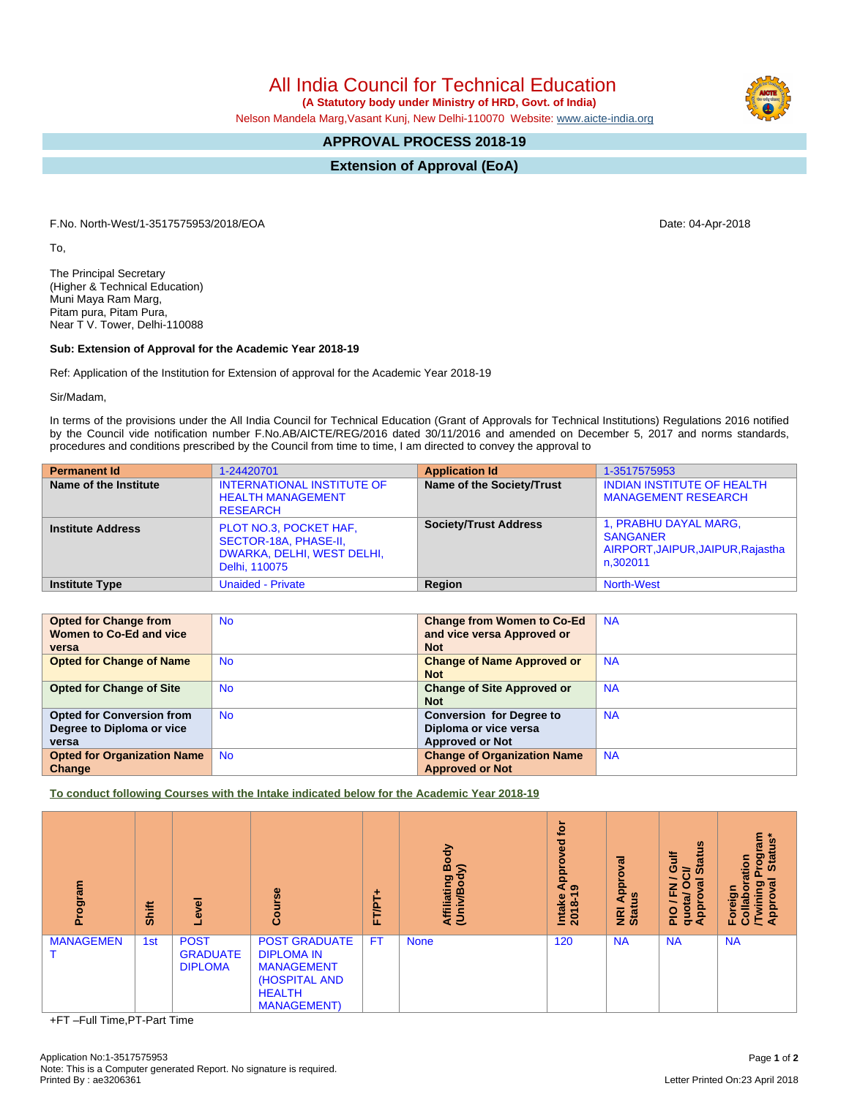All India Council for Technical Education

 **(A Statutory body under Ministry of HRD, Govt. of India)**

Nelson Mandela Marg,Vasant Kunj, New Delhi-110070 Website: [www.aicte-india.org](http://www.aicte-india.org)

## **APPROVAL PROCESS 2018-19**

**Extension of Approval (EoA)**

F.No. North-West/1-3517575953/2018/EOA Date: 04-Apr-2018

To,

The Principal Secretary (Higher & Technical Education) Muni Maya Ram Marg, Pitam pura, Pitam Pura, Near T V. Tower, Delhi-110088

## **Sub: Extension of Approval for the Academic Year 2018-19**

Ref: Application of the Institution for Extension of approval for the Academic Year 2018-19

Sir/Madam,

In terms of the provisions under the All India Council for Technical Education (Grant of Approvals for Technical Institutions) Regulations 2016 notified by the Council vide notification number F.No.AB/AICTE/REG/2016 dated 30/11/2016 and amended on December 5, 2017 and norms standards, procedures and conditions prescribed by the Council from time to time, I am directed to convey the approval to

| <b>Permanent Id</b>      | 1-24420701                                                                                     | <b>Application Id</b>        | 1-3517575953                                                                              |
|--------------------------|------------------------------------------------------------------------------------------------|------------------------------|-------------------------------------------------------------------------------------------|
| Name of the Institute    | <b>INTERNATIONAL INSTITUTE OF</b><br><b>HEALTH MANAGEMENT</b><br><b>RESEARCH</b>               | Name of the Society/Trust    | <b>INDIAN INSTITUTE OF HEALTH</b><br><b>MANAGEMENT RESEARCH</b>                           |
| <b>Institute Address</b> | PLOT NO.3, POCKET HAF,<br>SECTOR-18A, PHASE-II,<br>DWARKA, DELHI, WEST DELHI,<br>Delhi, 110075 | <b>Society/Trust Address</b> | 1, PRABHU DAYAL MARG,<br><b>SANGANER</b><br>AIRPORT, JAIPUR, JAIPUR, Rajastha<br>n.302011 |
| <b>Institute Type</b>    | <b>Unaided - Private</b>                                                                       | Region                       | <b>North-West</b>                                                                         |

| <b>Opted for Change from</b>       | <b>No</b> | <b>Change from Women to Co-Ed</b>  | <b>NA</b> |
|------------------------------------|-----------|------------------------------------|-----------|
| Women to Co-Ed and vice            |           | and vice versa Approved or         |           |
| versa                              |           | <b>Not</b>                         |           |
| <b>Opted for Change of Name</b>    | <b>No</b> | <b>Change of Name Approved or</b>  | <b>NA</b> |
|                                    |           | <b>Not</b>                         |           |
| <b>Opted for Change of Site</b>    | <b>No</b> | <b>Change of Site Approved or</b>  | <b>NA</b> |
|                                    |           | <b>Not</b>                         |           |
| <b>Opted for Conversion from</b>   | <b>No</b> | <b>Conversion for Degree to</b>    | <b>NA</b> |
| Degree to Diploma or vice          |           | Diploma or vice versa              |           |
| versa                              |           | <b>Approved or Not</b>             |           |
| <b>Opted for Organization Name</b> | <b>No</b> | <b>Change of Organization Name</b> | <b>NA</b> |
| Change                             |           | <b>Approved or Not</b>             |           |

**To conduct following Courses with the Intake indicated below for the Academic Year 2018-19**

| Program          | Shift | ō<br>$\bullet$                                   | Course                                                                                                                  | ۰<br>⊢<br>.<br>تا<br>iı. | Body<br>$\widehat{\phantom{a}}$<br>Affiliating<br>(Univ/Body | <b>b</b><br>yed<br>Ö<br><b>Appr</b><br>෧<br>Intake<br>2018-1 | त्व<br>o<br>Appr<br><b>NRI Ap<br/>Status</b> | <b>Status</b><br><b>Gulf</b><br>້៰<br>∽<br>ಸ<br>c<br>z<br>щ<br>quotal<br>Approv<br>∽<br>$\frac{1}{2}$ | Program<br>I Status*<br>ation<br><b>IEVO</b><br>Twining<br>ō<br>Foreign<br>Collab<br>Appro |
|------------------|-------|--------------------------------------------------|-------------------------------------------------------------------------------------------------------------------------|--------------------------|--------------------------------------------------------------|--------------------------------------------------------------|----------------------------------------------|-------------------------------------------------------------------------------------------------------|--------------------------------------------------------------------------------------------|
| <b>MANAGEMEN</b> | 1st   | <b>POST</b><br><b>GRADUATE</b><br><b>DIPLOMA</b> | <b>POST GRADUATE</b><br><b>DIPLOMA IN</b><br><b>MANAGEMENT</b><br>(HOSPITAL AND<br><b>HEALTH</b><br><b>MANAGEMENT</b> ) | <b>FT</b>                | <b>None</b>                                                  | 120                                                          | <b>NA</b>                                    | <b>NA</b>                                                                                             | <b>NA</b>                                                                                  |

+FT –Full Time,PT-Part Time